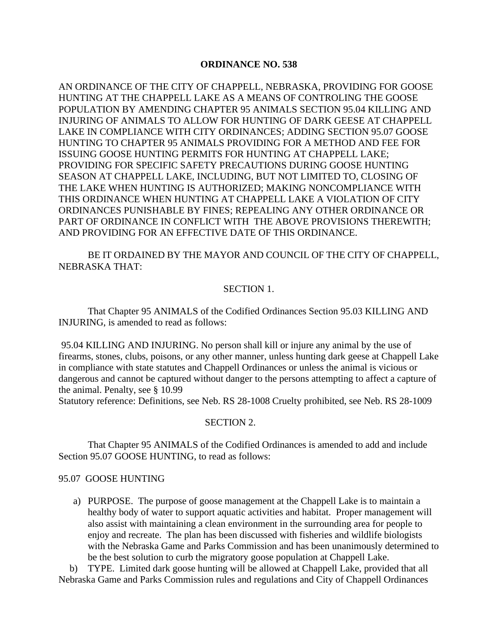#### **ORDINANCE NO. 538**

AN ORDINANCE OF THE CITY OF CHAPPELL, NEBRASKA, PROVIDING FOR GOOSE HUNTING AT THE CHAPPELL LAKE AS A MEANS OF CONTROLING THE GOOSE POPULATION BY AMENDING CHAPTER 95 ANIMALS SECTION 95.04 KILLING AND INJURING OF ANIMALS TO ALLOW FOR HUNTING OF DARK GEESE AT CHAPPELL LAKE IN COMPLIANCE WITH CITY ORDINANCES; ADDING SECTION 95.07 GOOSE HUNTING TO CHAPTER 95 ANIMALS PROVIDING FOR A METHOD AND FEE FOR ISSUING GOOSE HUNTING PERMITS FOR HUNTING AT CHAPPELL LAKE; PROVIDING FOR SPECIFIC SAFETY PRECAUTIONS DURING GOOSE HUNTING SEASON AT CHAPPELL LAKE, INCLUDING, BUT NOT LIMITED TO, CLOSING OF THE LAKE WHEN HUNTING IS AUTHORIZED; MAKING NONCOMPLIANCE WITH THIS ORDINANCE WHEN HUNTING AT CHAPPELL LAKE A VIOLATION OF CITY ORDINANCES PUNISHABLE BY FINES; REPEALING ANY OTHER ORDINANCE OR PART OF ORDINANCE IN CONFLICT WITH THE ABOVE PROVISIONS THEREWITH; AND PROVIDING FOR AN EFFECTIVE DATE OF THIS ORDINANCE.

BE IT ORDAINED BY THE MAYOR AND COUNCIL OF THE CITY OF CHAPPELL, NEBRASKA THAT:

# SECTION 1.

That Chapter 95 ANIMALS of the Codified Ordinances Section 95.03 KILLING AND INJURING, is amended to read as follows:

95.04 KILLING AND INJURING. No person shall kill or injure any animal by the use of firearms, stones, clubs, poisons, or any other manner, unless hunting dark geese at Chappell Lake in compliance with state statutes and Chappell Ordinances or unless the animal is vicious or dangerous and cannot be captured without danger to the persons attempting to affect a capture of the animal. Penalty, see § 10.99

Statutory reference: Definitions, see Neb. RS 28-1008 Cruelty prohibited, see Neb. RS 28-1009

#### SECTION 2.

That Chapter 95 ANIMALS of the Codified Ordinances is amended to add and include Section 95.07 GOOSE HUNTING, to read as follows:

# 95.07 GOOSE HUNTING

a) PURPOSE. The purpose of goose management at the Chappell Lake is to maintain a healthy body of water to support aquatic activities and habitat. Proper management will also assist with maintaining a clean environment in the surrounding area for people to enjoy and recreate. The plan has been discussed with fisheries and wildlife biologists with the Nebraska Game and Parks Commission and has been unanimously determined to be the best solution to curb the migratory goose population at Chappell Lake.

b) TYPE. Limited dark goose hunting will be allowed at Chappell Lake, provided that all Nebraska Game and Parks Commission rules and regulations and City of Chappell Ordinances